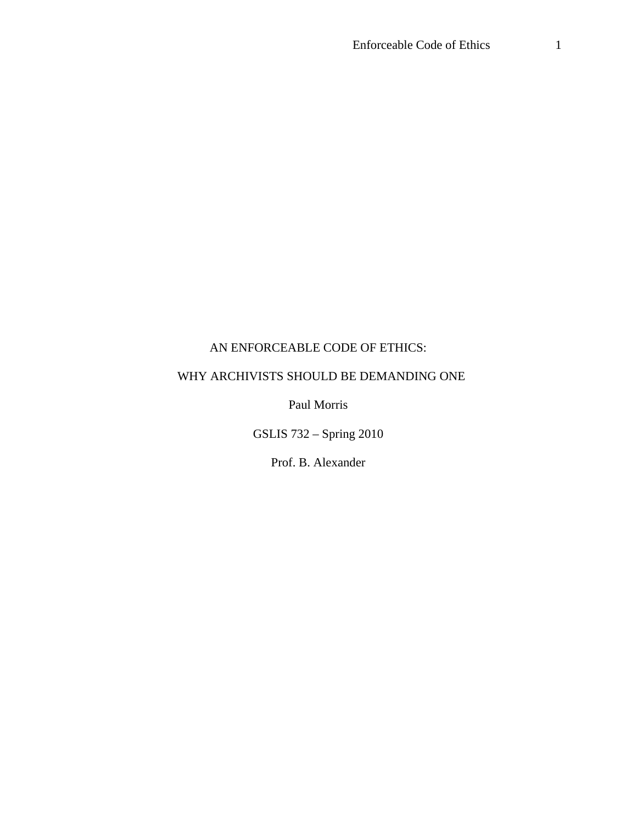## AN ENFORCEABLE CODE OF ETHICS:

# WHY ARCHIVISTS SHOULD BE DEMANDING ONE

Paul Morris

GSLIS 732 – Spring 2010

Prof. B. Alexander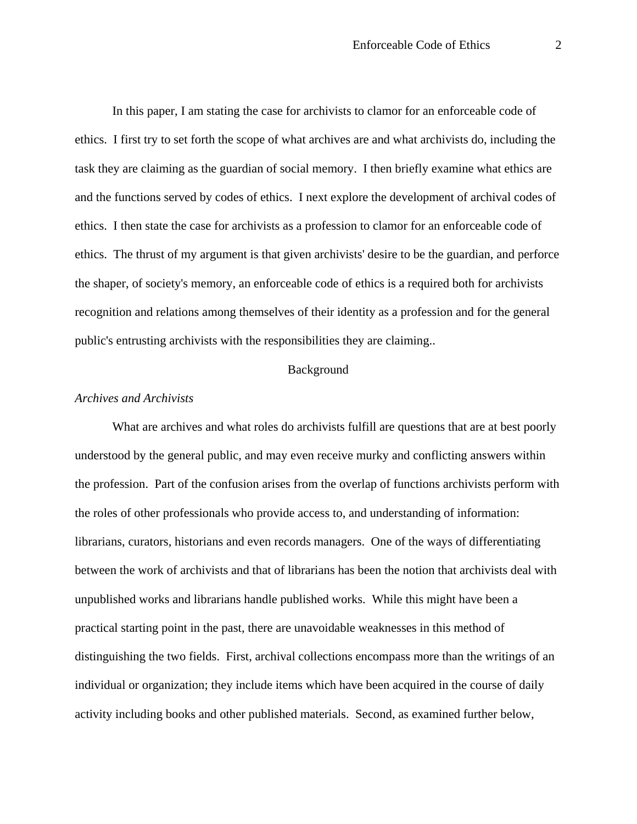In this paper, I am stating the case for archivists to clamor for an enforceable code of ethics. I first try to set forth the scope of what archives are and what archivists do, including the task they are claiming as the guardian of social memory. I then briefly examine what ethics are and the functions served by codes of ethics. I next explore the development of archival codes of ethics. I then state the case for archivists as a profession to clamor for an enforceable code of ethics. The thrust of my argument is that given archivists' desire to be the guardian, and perforce the shaper, of society's memory, an enforceable code of ethics is a required both for archivists recognition and relations among themselves of their identity as a profession and for the general public's entrusting archivists with the responsibilities they are claiming..

### Background

## *Archives and Archivists*

What are archives and what roles do archivists fulfill are questions that are at best poorly understood by the general public, and may even receive murky and conflicting answers within the profession. Part of the confusion arises from the overlap of functions archivists perform with the roles of other professionals who provide access to, and understanding of information: librarians, curators, historians and even records managers. One of the ways of differentiating between the work of archivists and that of librarians has been the notion that archivists deal with unpublished works and librarians handle published works. While this might have been a practical starting point in the past, there are unavoidable weaknesses in this method of distinguishing the two fields. First, archival collections encompass more than the writings of an individual or organization; they include items which have been acquired in the course of daily activity including books and other published materials. Second, as examined further below,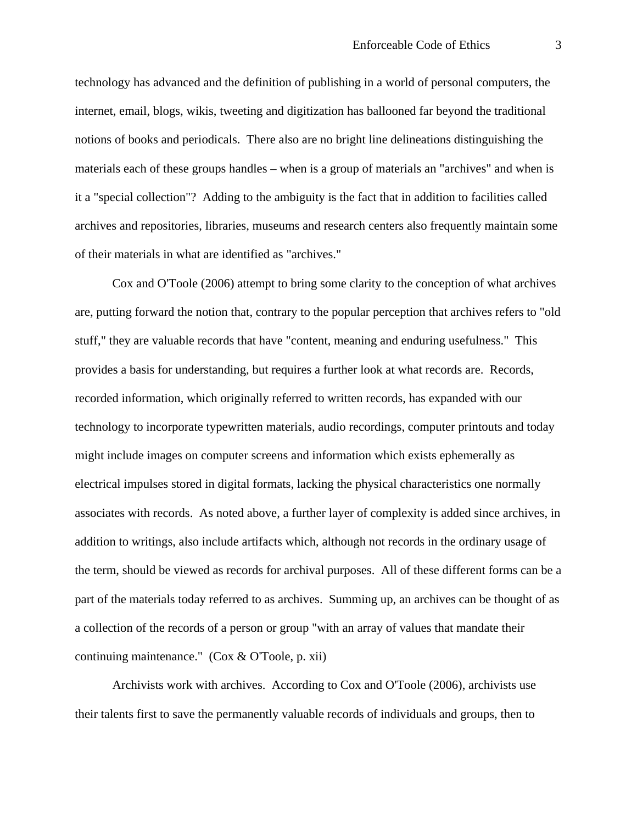technology has advanced and the definition of publishing in a world of personal computers, the internet, email, blogs, wikis, tweeting and digitization has ballooned far beyond the traditional notions of books and periodicals. There also are no bright line delineations distinguishing the materials each of these groups handles – when is a group of materials an "archives" and when is it a "special collection"? Adding to the ambiguity is the fact that in addition to facilities called archives and repositories, libraries, museums and research centers also frequently maintain some of their materials in what are identified as "archives."

Cox and O'Toole (2006) attempt to bring some clarity to the conception of what archives are, putting forward the notion that, contrary to the popular perception that archives refers to "old stuff," they are valuable records that have "content, meaning and enduring usefulness." This provides a basis for understanding, but requires a further look at what records are. Records, recorded information, which originally referred to written records, has expanded with our technology to incorporate typewritten materials, audio recordings, computer printouts and today might include images on computer screens and information which exists ephemerally as electrical impulses stored in digital formats, lacking the physical characteristics one normally associates with records. As noted above, a further layer of complexity is added since archives, in addition to writings, also include artifacts which, although not records in the ordinary usage of the term, should be viewed as records for archival purposes. All of these different forms can be a part of the materials today referred to as archives. Summing up, an archives can be thought of as a collection of the records of a person or group "with an array of values that mandate their continuing maintenance." (Cox  $& O'Toole$ , p. xii)

Archivists work with archives. According to Cox and O'Toole (2006), archivists use their talents first to save the permanently valuable records of individuals and groups, then to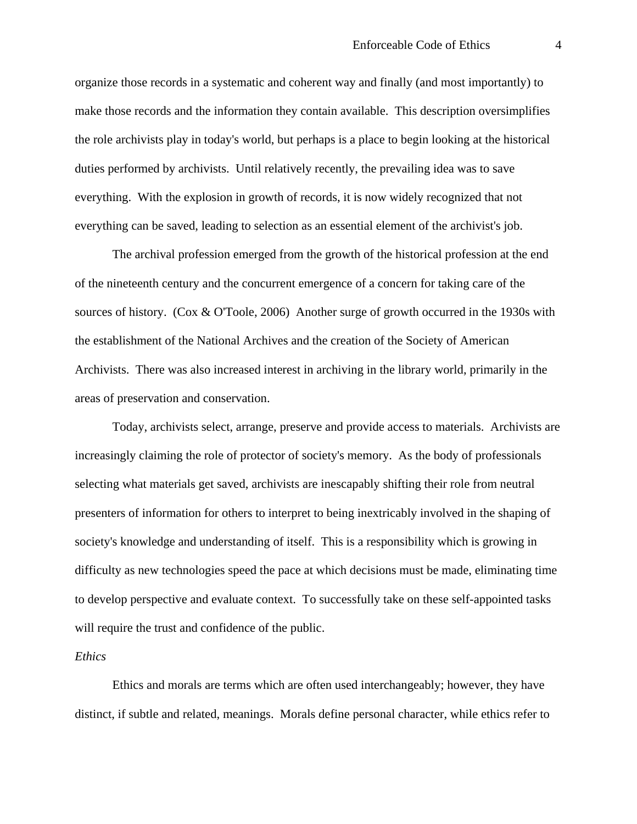organize those records in a systematic and coherent way and finally (and most importantly) to make those records and the information they contain available. This description oversimplifies the role archivists play in today's world, but perhaps is a place to begin looking at the historical duties performed by archivists. Until relatively recently, the prevailing idea was to save everything. With the explosion in growth of records, it is now widely recognized that not everything can be saved, leading to selection as an essential element of the archivist's job.

The archival profession emerged from the growth of the historical profession at the end of the nineteenth century and the concurrent emergence of a concern for taking care of the sources of history. (Cox & O'Toole, 2006) Another surge of growth occurred in the 1930s with the establishment of the National Archives and the creation of the Society of American Archivists. There was also increased interest in archiving in the library world, primarily in the areas of preservation and conservation.

Today, archivists select, arrange, preserve and provide access to materials. Archivists are increasingly claiming the role of protector of society's memory. As the body of professionals selecting what materials get saved, archivists are inescapably shifting their role from neutral presenters of information for others to interpret to being inextricably involved in the shaping of society's knowledge and understanding of itself. This is a responsibility which is growing in difficulty as new technologies speed the pace at which decisions must be made, eliminating time to develop perspective and evaluate context. To successfully take on these self-appointed tasks will require the trust and confidence of the public.

## *Ethics*

Ethics and morals are terms which are often used interchangeably; however, they have distinct, if subtle and related, meanings. Morals define personal character, while ethics refer to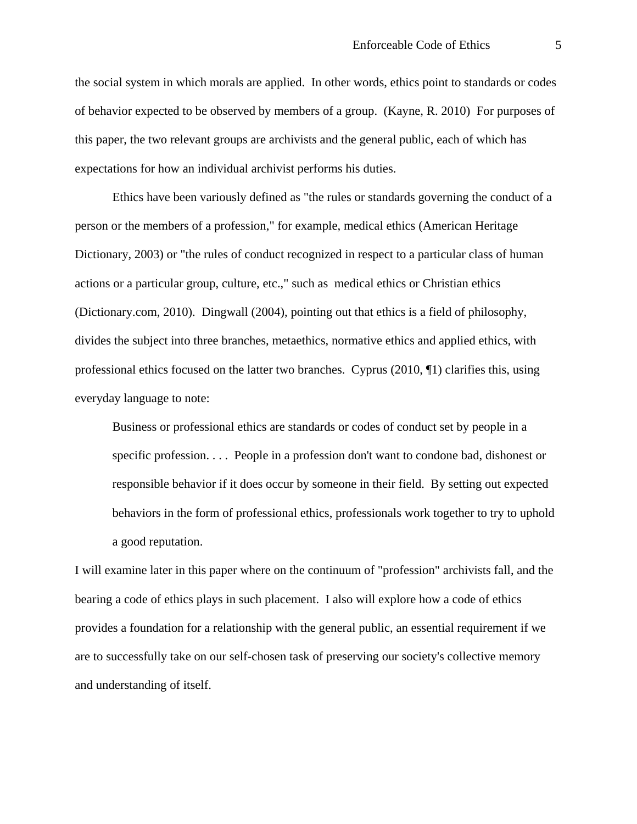the social system in which morals are applied. In other words, ethics point to standards or codes of behavior expected to be observed by members of a group. (Kayne, R. 2010) For purposes of this paper, the two relevant groups are archivists and the general public, each of which has expectations for how an individual archivist performs his duties.

Ethics have been variously defined as "the rules or standards governing the conduct of a person or the members of a profession," for example, medical ethics (American Heritage Dictionary, 2003) or "the rules of conduct recognized in respect to a particular class of human actions or a particular group, culture, etc.," such as medical ethics or Christian ethics (Dictionary.com, 2010). Dingwall (2004), pointing out that ethics is a field of philosophy, divides the subject into three branches, metaethics, normative ethics and applied ethics, with professional ethics focused on the latter two branches. Cyprus (2010, ¶1) clarifies this, using everyday language to note:

Business or professional ethics are standards or codes of conduct set by people in a specific profession. . . . People in a profession don't want to condone bad, dishonest or responsible behavior if it does occur by someone in their field. By setting out expected behaviors in the form of professional ethics, professionals work together to try to uphold a good reputation.

I will examine later in this paper where on the continuum of "profession" archivists fall, and the bearing a code of ethics plays in such placement. I also will explore how a code of ethics provides a foundation for a relationship with the general public, an essential requirement if we are to successfully take on our self-chosen task of preserving our society's collective memory and understanding of itself.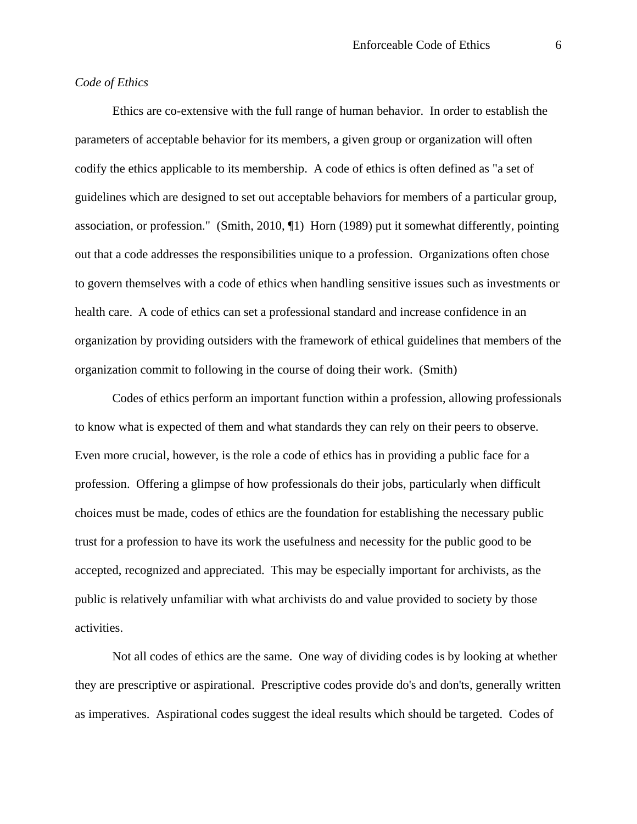## *Code of Ethics*

Ethics are co-extensive with the full range of human behavior. In order to establish the parameters of acceptable behavior for its members, a given group or organization will often codify the ethics applicable to its membership. A code of ethics is often defined as "a set of guidelines which are designed to set out acceptable behaviors for members of a particular group, association, or profession." (Smith, 2010, ¶1) Horn (1989) put it somewhat differently, pointing out that a code addresses the responsibilities unique to a profession. Organizations often chose to govern themselves with a code of ethics when handling sensitive issues such as investments or health care. A code of ethics can set a professional standard and increase confidence in an organization by providing outsiders with the framework of ethical guidelines that members of the organization commit to following in the course of doing their work. (Smith)

Codes of ethics perform an important function within a profession, allowing professionals to know what is expected of them and what standards they can rely on their peers to observe. Even more crucial, however, is the role a code of ethics has in providing a public face for a profession. Offering a glimpse of how professionals do their jobs, particularly when difficult choices must be made, codes of ethics are the foundation for establishing the necessary public trust for a profession to have its work the usefulness and necessity for the public good to be accepted, recognized and appreciated. This may be especially important for archivists, as the public is relatively unfamiliar with what archivists do and value provided to society by those activities.

Not all codes of ethics are the same. One way of dividing codes is by looking at whether they are prescriptive or aspirational. Prescriptive codes provide do's and don'ts, generally written as imperatives. Aspirational codes suggest the ideal results which should be targeted. Codes of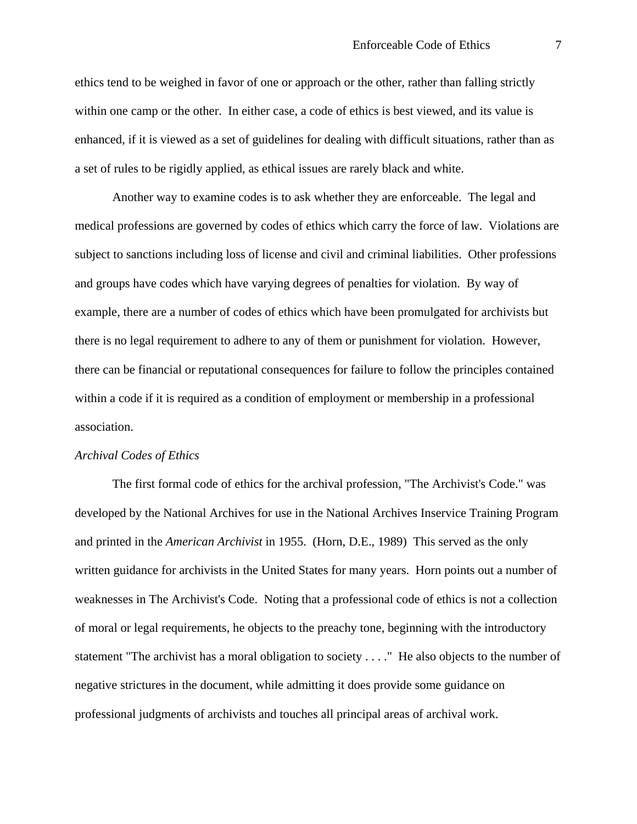ethics tend to be weighed in favor of one or approach or the other, rather than falling strictly within one camp or the other. In either case, a code of ethics is best viewed, and its value is enhanced, if it is viewed as a set of guidelines for dealing with difficult situations, rather than as a set of rules to be rigidly applied, as ethical issues are rarely black and white.

Another way to examine codes is to ask whether they are enforceable. The legal and medical professions are governed by codes of ethics which carry the force of law. Violations are subject to sanctions including loss of license and civil and criminal liabilities. Other professions and groups have codes which have varying degrees of penalties for violation. By way of example, there are a number of codes of ethics which have been promulgated for archivists but there is no legal requirement to adhere to any of them or punishment for violation. However, there can be financial or reputational consequences for failure to follow the principles contained within a code if it is required as a condition of employment or membership in a professional association.

#### *Archival Codes of Ethics*

The first formal code of ethics for the archival profession, "The Archivist's Code." was developed by the National Archives for use in the National Archives Inservice Training Program and printed in the *American Archivist* in 1955. (Horn, D.E., 1989) This served as the only written guidance for archivists in the United States for many years. Horn points out a number of weaknesses in The Archivist's Code. Noting that a professional code of ethics is not a collection of moral or legal requirements, he objects to the preachy tone, beginning with the introductory statement "The archivist has a moral obligation to society . . . ." He also objects to the number of negative strictures in the document, while admitting it does provide some guidance on professional judgments of archivists and touches all principal areas of archival work.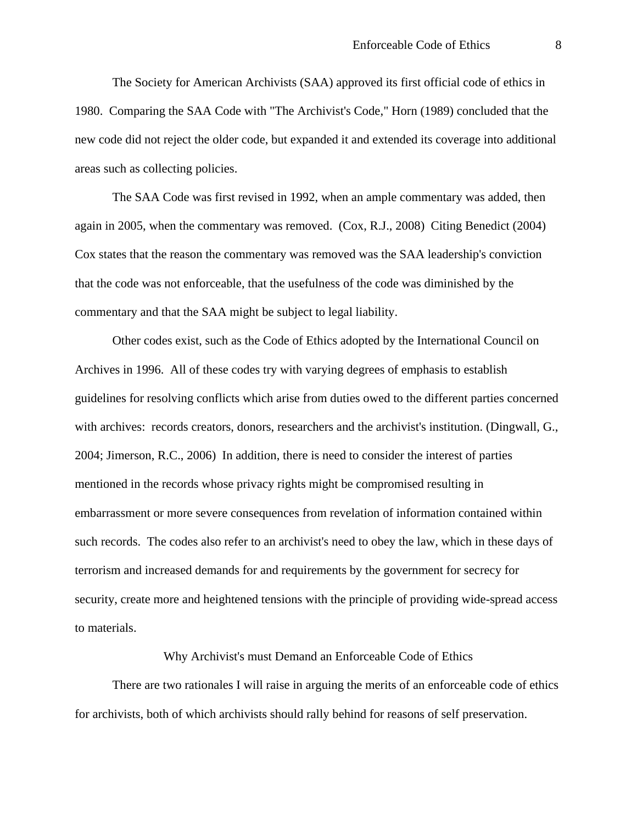The Society for American Archivists (SAA) approved its first official code of ethics in 1980. Comparing the SAA Code with "The Archivist's Code," Horn (1989) concluded that the new code did not reject the older code, but expanded it and extended its coverage into additional areas such as collecting policies.

The SAA Code was first revised in 1992, when an ample commentary was added, then again in 2005, when the commentary was removed. (Cox, R.J., 2008) Citing Benedict (2004) Cox states that the reason the commentary was removed was the SAA leadership's conviction that the code was not enforceable, that the usefulness of the code was diminished by the commentary and that the SAA might be subject to legal liability.

Other codes exist, such as the Code of Ethics adopted by the International Council on Archives in 1996. All of these codes try with varying degrees of emphasis to establish guidelines for resolving conflicts which arise from duties owed to the different parties concerned with archives: records creators, donors, researchers and the archivist's institution. (Dingwall, G., 2004; Jimerson, R.C., 2006) In addition, there is need to consider the interest of parties mentioned in the records whose privacy rights might be compromised resulting in embarrassment or more severe consequences from revelation of information contained within such records. The codes also refer to an archivist's need to obey the law, which in these days of terrorism and increased demands for and requirements by the government for secrecy for security, create more and heightened tensions with the principle of providing wide-spread access to materials.

## Why Archivist's must Demand an Enforceable Code of Ethics

There are two rationales I will raise in arguing the merits of an enforceable code of ethics for archivists, both of which archivists should rally behind for reasons of self preservation.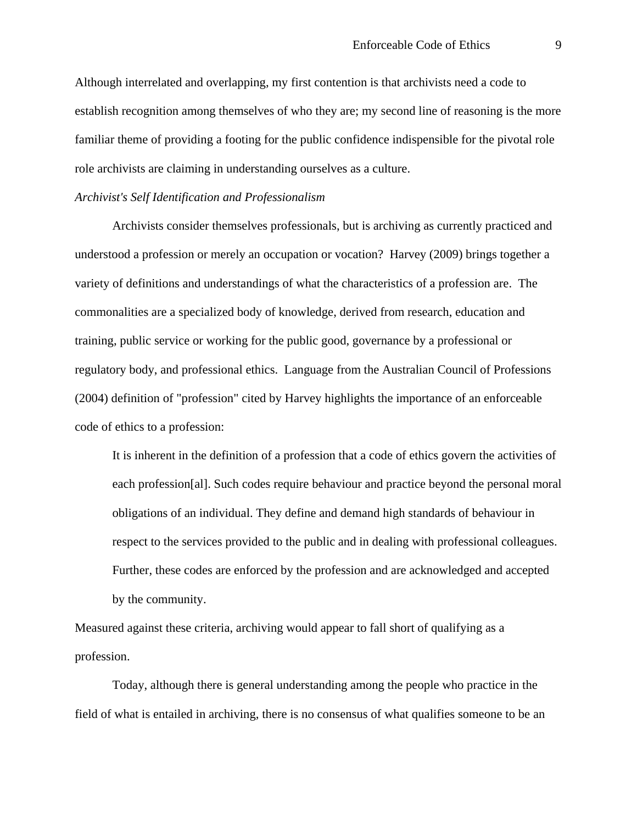Although interrelated and overlapping, my first contention is that archivists need a code to establish recognition among themselves of who they are; my second line of reasoning is the more familiar theme of providing a footing for the public confidence indispensible for the pivotal role role archivists are claiming in understanding ourselves as a culture.

#### *Archivist's Self Identification and Professionalism*

Archivists consider themselves professionals, but is archiving as currently practiced and understood a profession or merely an occupation or vocation? Harvey (2009) brings together a variety of definitions and understandings of what the characteristics of a profession are. The commonalities are a specialized body of knowledge, derived from research, education and training, public service or working for the public good, governance by a professional or regulatory body, and professional ethics. Language from the Australian Council of Professions (2004) definition of "profession" cited by Harvey highlights the importance of an enforceable code of ethics to a profession:

It is inherent in the definition of a profession that a code of ethics govern the activities of each profession[al]. Such codes require behaviour and practice beyond the personal moral obligations of an individual. They define and demand high standards of behaviour in respect to the services provided to the public and in dealing with professional colleagues. Further, these codes are enforced by the profession and are acknowledged and accepted by the community.

Measured against these criteria, archiving would appear to fall short of qualifying as a profession.

Today, although there is general understanding among the people who practice in the field of what is entailed in archiving, there is no consensus of what qualifies someone to be an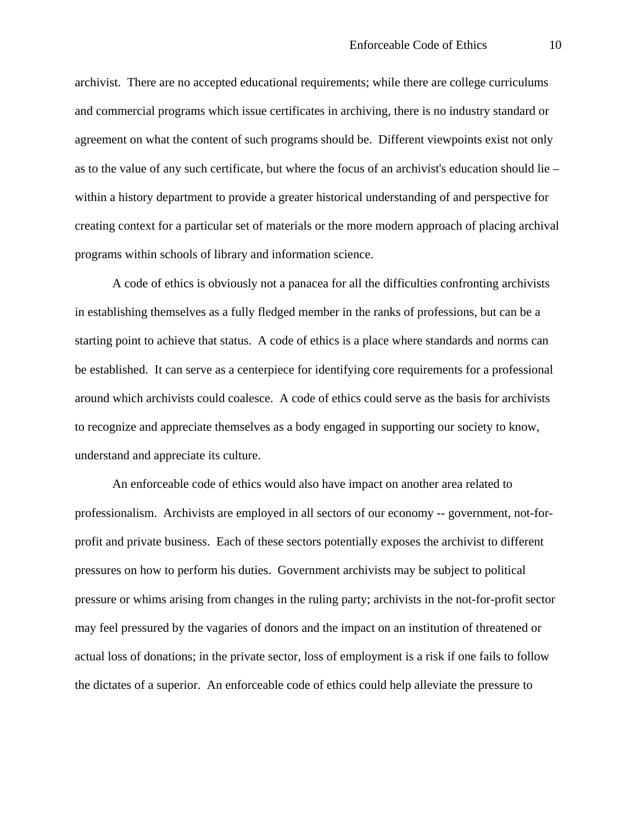archivist. There are no accepted educational requirements; while there are college curriculums and commercial programs which issue certificates in archiving, there is no industry standard or agreement on what the content of such programs should be. Different viewpoints exist not only as to the value of any such certificate, but where the focus of an archivist's education should lie – within a history department to provide a greater historical understanding of and perspective for creating context for a particular set of materials or the more modern approach of placing archival programs within schools of library and information science.

A code of ethics is obviously not a panacea for all the difficulties confronting archivists in establishing themselves as a fully fledged member in the ranks of professions, but can be a starting point to achieve that status. A code of ethics is a place where standards and norms can be established. It can serve as a centerpiece for identifying core requirements for a professional around which archivists could coalesce. A code of ethics could serve as the basis for archivists to recognize and appreciate themselves as a body engaged in supporting our society to know, understand and appreciate its culture.

An enforceable code of ethics would also have impact on another area related to professionalism. Archivists are employed in all sectors of our economy -- government, not-forprofit and private business. Each of these sectors potentially exposes the archivist to different pressures on how to perform his duties. Government archivists may be subject to political pressure or whims arising from changes in the ruling party; archivists in the not-for-profit sector may feel pressured by the vagaries of donors and the impact on an institution of threatened or actual loss of donations; in the private sector, loss of employment is a risk if one fails to follow the dictates of a superior. An enforceable code of ethics could help alleviate the pressure to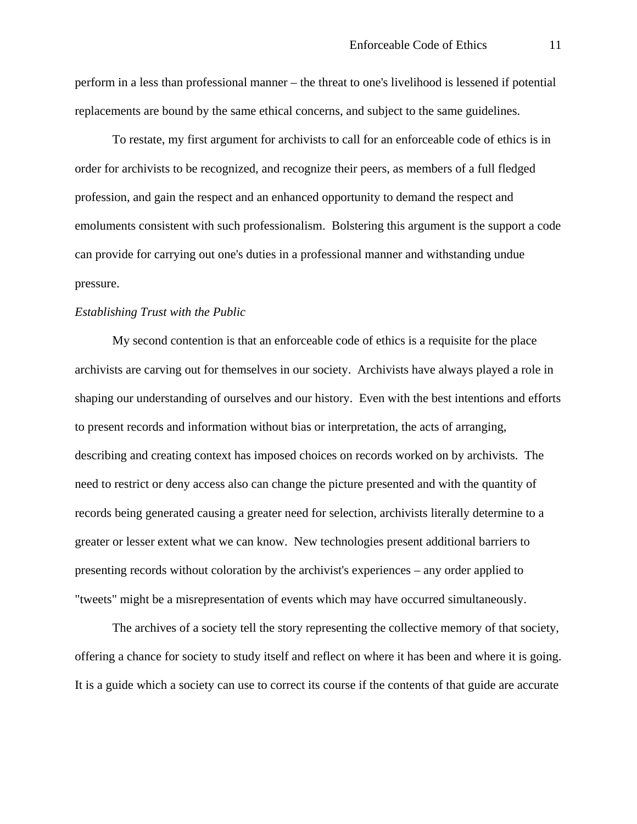perform in a less than professional manner – the threat to one's livelihood is lessened if potential replacements are bound by the same ethical concerns, and subject to the same guidelines.

To restate, my first argument for archivists to call for an enforceable code of ethics is in order for archivists to be recognized, and recognize their peers, as members of a full fledged profession, and gain the respect and an enhanced opportunity to demand the respect and emoluments consistent with such professionalism. Bolstering this argument is the support a code can provide for carrying out one's duties in a professional manner and withstanding undue pressure.

## *Establishing Trust with the Public*

My second contention is that an enforceable code of ethics is a requisite for the place archivists are carving out for themselves in our society. Archivists have always played a role in shaping our understanding of ourselves and our history. Even with the best intentions and efforts to present records and information without bias or interpretation, the acts of arranging, describing and creating context has imposed choices on records worked on by archivists. The need to restrict or deny access also can change the picture presented and with the quantity of records being generated causing a greater need for selection, archivists literally determine to a greater or lesser extent what we can know. New technologies present additional barriers to presenting records without coloration by the archivist's experiences – any order applied to "tweets" might be a misrepresentation of events which may have occurred simultaneously.

The archives of a society tell the story representing the collective memory of that society, offering a chance for society to study itself and reflect on where it has been and where it is going. It is a guide which a society can use to correct its course if the contents of that guide are accurate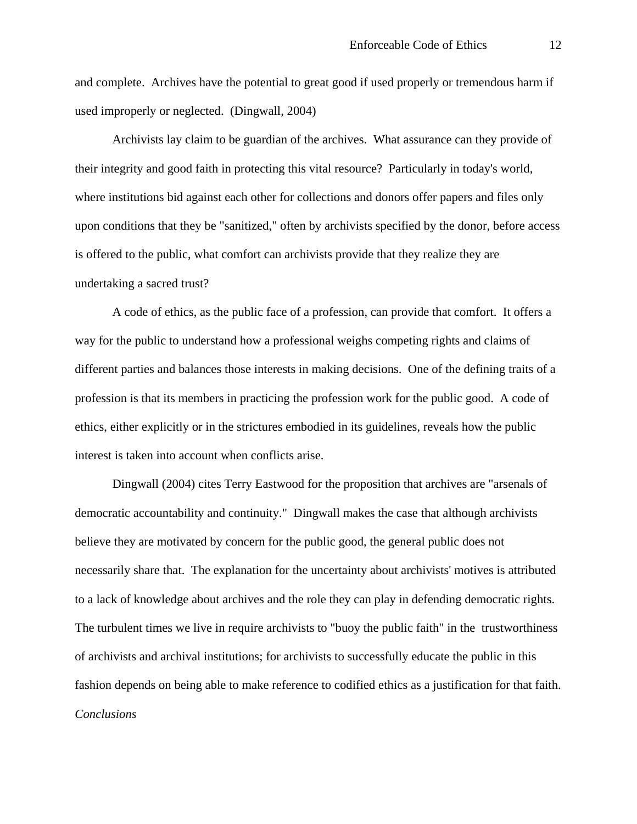and complete. Archives have the potential to great good if used properly or tremendous harm if used improperly or neglected. (Dingwall, 2004)

Archivists lay claim to be guardian of the archives. What assurance can they provide of their integrity and good faith in protecting this vital resource? Particularly in today's world, where institutions bid against each other for collections and donors offer papers and files only upon conditions that they be "sanitized," often by archivists specified by the donor, before access is offered to the public, what comfort can archivists provide that they realize they are undertaking a sacred trust?

A code of ethics, as the public face of a profession, can provide that comfort. It offers a way for the public to understand how a professional weighs competing rights and claims of different parties and balances those interests in making decisions. One of the defining traits of a profession is that its members in practicing the profession work for the public good. A code of ethics, either explicitly or in the strictures embodied in its guidelines, reveals how the public interest is taken into account when conflicts arise.

Dingwall (2004) cites Terry Eastwood for the proposition that archives are "arsenals of democratic accountability and continuity." Dingwall makes the case that although archivists believe they are motivated by concern for the public good, the general public does not necessarily share that. The explanation for the uncertainty about archivists' motives is attributed to a lack of knowledge about archives and the role they can play in defending democratic rights. The turbulent times we live in require archivists to "buoy the public faith" in the trustworthiness of archivists and archival institutions; for archivists to successfully educate the public in this fashion depends on being able to make reference to codified ethics as a justification for that faith. *Conclusions*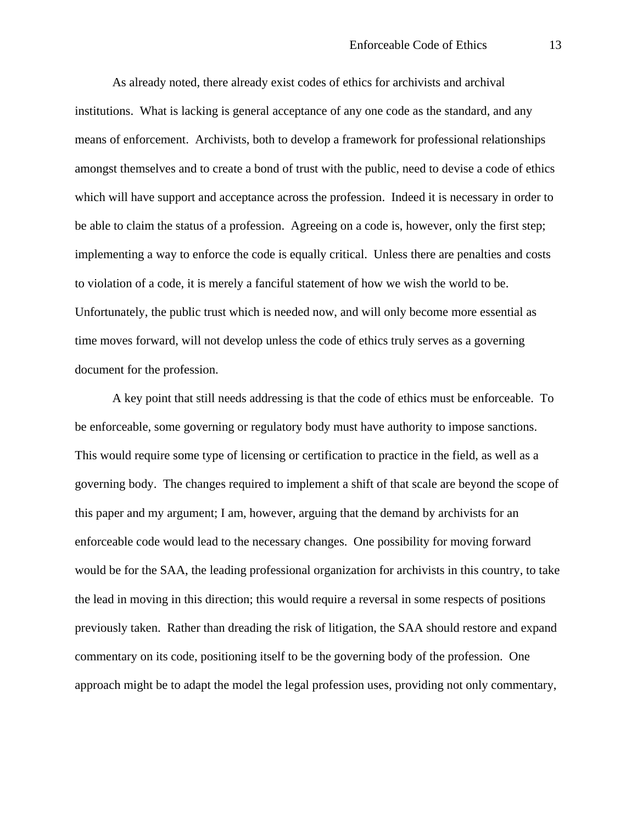As already noted, there already exist codes of ethics for archivists and archival institutions. What is lacking is general acceptance of any one code as the standard, and any means of enforcement. Archivists, both to develop a framework for professional relationships amongst themselves and to create a bond of trust with the public, need to devise a code of ethics which will have support and acceptance across the profession. Indeed it is necessary in order to be able to claim the status of a profession. Agreeing on a code is, however, only the first step; implementing a way to enforce the code is equally critical. Unless there are penalties and costs to violation of a code, it is merely a fanciful statement of how we wish the world to be. Unfortunately, the public trust which is needed now, and will only become more essential as time moves forward, will not develop unless the code of ethics truly serves as a governing document for the profession.

A key point that still needs addressing is that the code of ethics must be enforceable. To be enforceable, some governing or regulatory body must have authority to impose sanctions. This would require some type of licensing or certification to practice in the field, as well as a governing body. The changes required to implement a shift of that scale are beyond the scope of this paper and my argument; I am, however, arguing that the demand by archivists for an enforceable code would lead to the necessary changes. One possibility for moving forward would be for the SAA, the leading professional organization for archivists in this country, to take the lead in moving in this direction; this would require a reversal in some respects of positions previously taken. Rather than dreading the risk of litigation, the SAA should restore and expand commentary on its code, positioning itself to be the governing body of the profession. One approach might be to adapt the model the legal profession uses, providing not only commentary,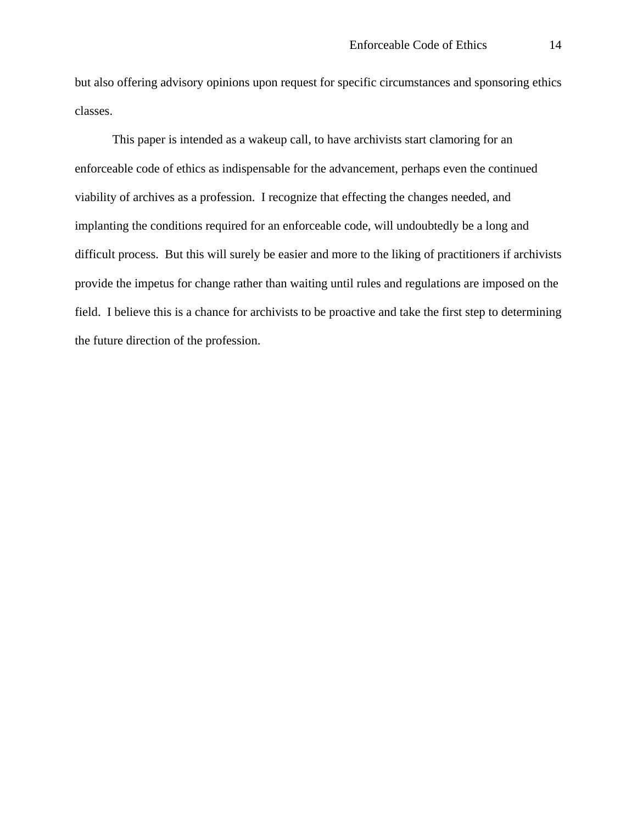but also offering advisory opinions upon request for specific circumstances and sponsoring ethics classes.

This paper is intended as a wakeup call, to have archivists start clamoring for an enforceable code of ethics as indispensable for the advancement, perhaps even the continued viability of archives as a profession. I recognize that effecting the changes needed, and implanting the conditions required for an enforceable code, will undoubtedly be a long and difficult process. But this will surely be easier and more to the liking of practitioners if archivists provide the impetus for change rather than waiting until rules and regulations are imposed on the field. I believe this is a chance for archivists to be proactive and take the first step to determining the future direction of the profession.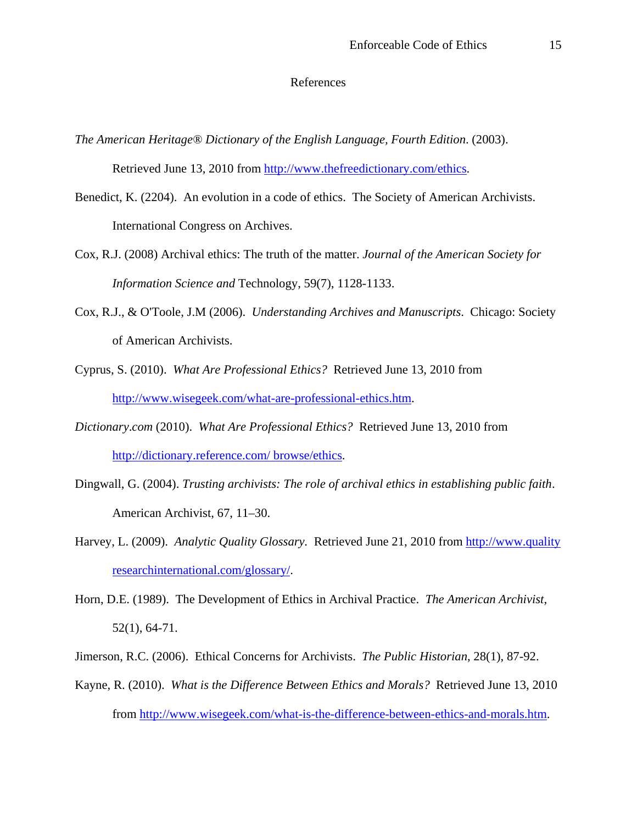## References

*The American Heritage® Dictionary of the English Language, Fourth Edition*. (2003).

Retrieved June 13, 2010 from [http://www.thefreedictionary.com/ethics.](http://www.thefreedictionary.com/ethics)

- Benedict, K. (2204). An evolution in a code of ethics. The Society of American Archivists. International Congress on Archives.
- Cox, R.J. (2008) Archival ethics: The truth of the matter. *Journal of the American Society for Information Science and* Technology, 59(7), 1128-1133.
- Cox, R.J., & O'Toole, J.M (2006). *Understanding Archives and Manuscripts*. Chicago: Society of American Archivists.
- Cyprus, S. (2010). *What Are Professional Ethics?* Retrieved June 13, 2010 from [http://www.wisegeek.com/what-are-professional-ethics.htm.](http://www.wisegeek.com/what-are-professional-ethics.htm)
- *Dictionary*.*com* (2010). *What Are Professional Ethics?* Retrieved June 13, 2010 from [http://dictionary.reference.com/ browse/ethics.](http://dictionary.reference.com/%20browse/ethics)
- Dingwall, G. (2004). *Trusting archivists: The role of archival ethics in establishing public faith*. American Archivist, 67, 11–30.
- Harvey, L. (2009). *Analytic Quality Glossary.* Retrieved June 21, 2010 from http://www.quality researchinternational.com/glossary/.
- Horn, D.E. (1989). The Development of Ethics in Archival Practice. *The American Archivist*, 52(1), 64-71.
- Jimerson, R.C. (2006). Ethical Concerns for Archivists. *The Public Historian*, 28(1), 87-92.
- Kayne, R. (2010). *What is the Difference Between Ethics and Morals?* Retrieved June 13, 2010 from [http://www.wisegeek.com/what-is-the-difference-between-ethics-and-morals.htm.](http://www.wisegeek.com/what-is-the-difference-between-ethics-and-morals.htm)